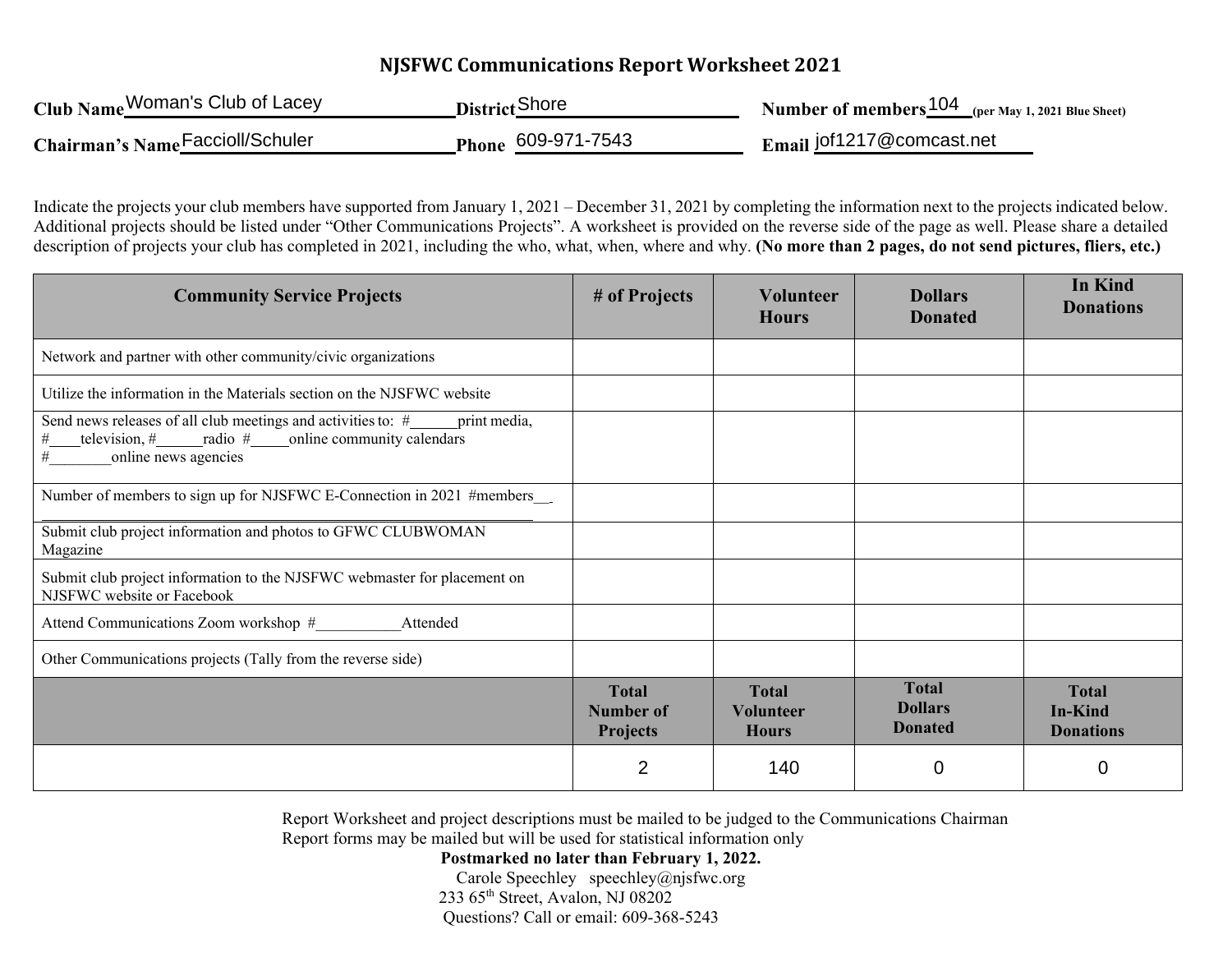## **NJSFWC Communications Report Worksheet 2021**

| Club Name Woman's Club of Lacey  | <b>District</b> Shore | <b>Number of members</b> $\frac{104}{2}$ (per May 1, 2021 Blue Sheet) |
|----------------------------------|-----------------------|-----------------------------------------------------------------------|
| Chairman's Name Faccioll/Schuler | Phone 609-971-7543    | Email jof1217@comcast.net                                             |

Indicate the projects your club members have supported from January 1, 2021 – December 31, 2021 by completing the information next to the projects indicated below. Additional projects should be listed under "Other Communications Projects". A worksheet is provided on the reverse side of the page as well. Please share a detailed description of projects your club has completed in 2021, including the who, what, when, where and why. **(No more than 2 pages, do not send pictures, fliers, etc.)**

| <b>Community Service Projects</b>                                                                                                                                      | # of Projects                                | <b>Volunteer</b><br><b>Hours</b>                 | <b>Dollars</b><br><b>Donated</b>                 | <b>In Kind</b><br><b>Donations</b>                 |
|------------------------------------------------------------------------------------------------------------------------------------------------------------------------|----------------------------------------------|--------------------------------------------------|--------------------------------------------------|----------------------------------------------------|
| Network and partner with other community/civic organizations                                                                                                           |                                              |                                                  |                                                  |                                                    |
| Utilize the information in the Materials section on the NJSFWC website                                                                                                 |                                              |                                                  |                                                  |                                                    |
| Send news releases of all club meetings and activities to: #______ print media,<br>television, $\#$ radio $\#$ online community calendars<br>#<br>online news agencies |                                              |                                                  |                                                  |                                                    |
| Number of members to sign up for NJSFWC E-Connection in 2021 #members                                                                                                  |                                              |                                                  |                                                  |                                                    |
| Submit club project information and photos to GFWC CLUBWOMAN<br>Magazine                                                                                               |                                              |                                                  |                                                  |                                                    |
| Submit club project information to the NJSFWC webmaster for placement on<br>NJSFWC website or Facebook                                                                 |                                              |                                                  |                                                  |                                                    |
| Attend Communications Zoom workshop #<br>Attended                                                                                                                      |                                              |                                                  |                                                  |                                                    |
| Other Communications projects (Tally from the reverse side)                                                                                                            |                                              |                                                  |                                                  |                                                    |
|                                                                                                                                                                        | <b>Total</b><br>Number of<br><b>Projects</b> | <b>Total</b><br><b>Volunteer</b><br><b>Hours</b> | <b>Total</b><br><b>Dollars</b><br><b>Donated</b> | <b>Total</b><br><b>In-Kind</b><br><b>Donations</b> |
|                                                                                                                                                                        | $\overline{2}$                               | 140                                              | 0                                                | 0                                                  |

Report Worksheet and project descriptions must be mailed to be judged to the Communications Chairman Report forms may be mailed but will be used for statistical information only

**Postmarked no later than February 1, 2022.** 

Carole Speechley speechley@njsfwc.org 233  $65<sup>th</sup> Street, Avalon, NJ 08202$ Questions? Call or email: 609-368-5243